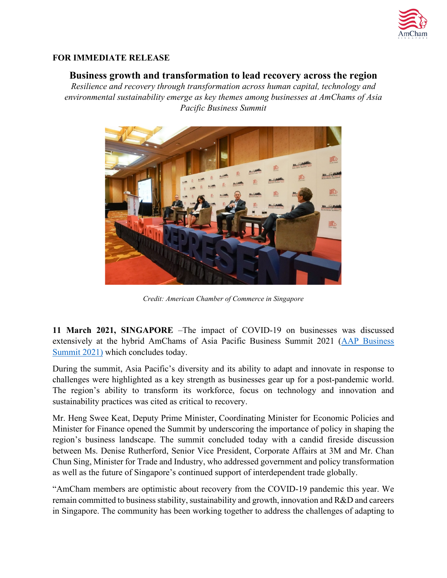

## **FOR IMMEDIATE RELEASE**

## **Business growth and transformation to lead recovery across the region**

*Resilience and recovery through transformation across human capital, technology and environmental sustainability emerge as key themes among businesses at AmChams of Asia Pacific Business Summit*



*Credit: American Chamber of Commerce in Singapore*

**11 March 2021, SINGAPORE** –The impact of COVID-19 on businesses was discussed extensively at the hybrid AmChams of Asia Pacific Business Summit 2021 [\(AAP Business](https://www.aapsummit2021.com/event/108)  [Summit 2021\)](https://www.aapsummit2021.com/event/108) which concludes today.

During the summit, Asia Pacific's diversity and its ability to adapt and innovate in response to challenges were highlighted as a key strength as businesses gear up for a post-pandemic world. The region's ability to transform its workforce, focus on technology and innovation and sustainability practices was cited as critical to recovery.

Mr. Heng Swee Keat, Deputy Prime Minister, Coordinating Minister for Economic Policies and Minister for Finance opened the Summit by underscoring the importance of policy in shaping the region's business landscape. The summit concluded today with a candid fireside discussion between Ms. Denise Rutherford, Senior Vice President, Corporate Affairs at 3M and Mr. Chan Chun Sing, Minister for Trade and Industry, who addressed government and policy transformation as well as the future of Singapore's continued support of interdependent trade globally.

"AmCham members are optimistic about recovery from the COVID-19 pandemic this year. We remain committed to business stability, sustainability and growth, innovation and R&D and careers in Singapore. The community has been working together to address the challenges of adapting to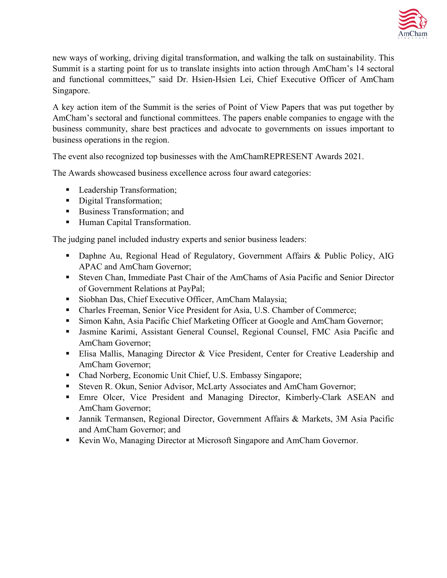

new ways of working, driving digital transformation, and walking the talk on sustainability. This Summit is a starting point for us to translate insights into action through AmCham's 14 sectoral and functional committees," said Dr. Hsien-Hsien Lei, Chief Executive Officer of AmCham Singapore.

A key action item of the Summit is the series of Point of View Papers that was put together by AmCham's sectoral and functional committees. The papers enable companies to engage with the business community, share best practices and advocate to governments on issues important to business operations in the region.

The event also recognized top businesses with the AmChamREPRESENT Awards 2021.

The Awards showcased business excellence across four award categories:

- **Leadership Transformation;**
- **Digital Transformation;**
- Business Transformation; and
- **Human Capital Transformation.**

The judging panel included industry experts and senior business leaders:

- Daphne Au, Regional Head of Regulatory, Government Affairs & Public Policy, AIG APAC and AmCham Governor;
- Steven Chan, Immediate Past Chair of the AmChams of Asia Pacific and Senior Director of Government Relations at PayPal;
- **Siobhan Das, Chief Executive Officer, AmCham Malaysia;**
- Charles Freeman, Senior Vice President for Asia, U.S. Chamber of Commerce;
- Simon Kahn, Asia Pacific Chief Marketing Officer at Google and AmCham Governor;
- Jasmine Karimi, Assistant General Counsel, Regional Counsel, FMC Asia Pacific and AmCham Governor;
- Elisa Mallis, Managing Director & Vice President, Center for Creative Leadership and AmCham Governor;
- Chad Norberg, Economic Unit Chief, U.S. Embassy Singapore;
- Steven R. Okun, Senior Advisor, McLarty Associates and AmCham Governor;
- Emre Olcer, Vice President and Managing Director, Kimberly-Clark ASEAN and AmCham Governor;
- Jannik Termansen, Regional Director, Government Affairs & Markets, 3M Asia Pacific and AmCham Governor; and
- Kevin Wo, Managing Director at Microsoft Singapore and AmCham Governor.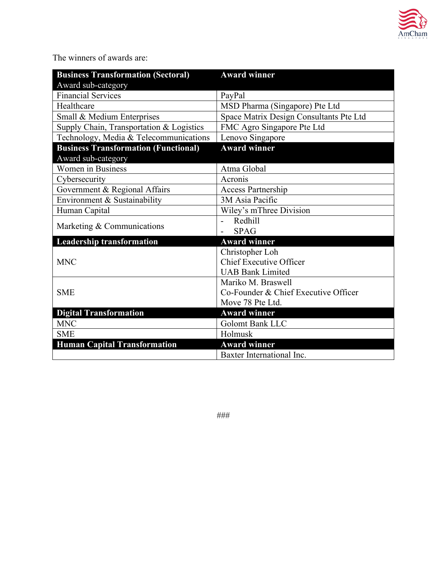

The winners of awards are:

| <b>Business Transformation (Sectoral)</b>   | <b>Award winner</b>                     |
|---------------------------------------------|-----------------------------------------|
| Award sub-category                          |                                         |
| <b>Financial Services</b>                   | PayPal                                  |
| Healthcare                                  | MSD Pharma (Singapore) Pte Ltd          |
| Small & Medium Enterprises                  | Space Matrix Design Consultants Pte Ltd |
| Supply Chain, Transportation & Logistics    | FMC Agro Singapore Pte Ltd              |
| Technology, Media & Telecommunications      | Lenovo Singapore                        |
| <b>Business Transformation (Functional)</b> | <b>Award winner</b>                     |
| Award sub-category                          |                                         |
| <b>Women</b> in Business                    | Atma Global                             |
| Cybersecurity                               | Acronis                                 |
| Government & Regional Affairs               | Access Partnership                      |
| Environment & Sustainability                | 3M Asia Pacific                         |
| Human Capital                               | Wiley's mThree Division                 |
| Marketing & Communications                  | Redhill                                 |
|                                             | <b>SPAG</b>                             |
| <b>Leadership transformation</b>            | <b>Award winner</b>                     |
| <b>MNC</b>                                  | Christopher Loh                         |
|                                             | Chief Executive Officer                 |
|                                             | <b>UAB Bank Limited</b>                 |
| <b>SME</b>                                  | Mariko M. Braswell                      |
|                                             | Co-Founder & Chief Executive Officer    |
|                                             | Move 78 Pte Ltd.                        |
| <b>Digital Transformation</b>               | <b>Award winner</b>                     |
| <b>MNC</b>                                  | <b>Golomt Bank LLC</b>                  |
| <b>SME</b>                                  | Holmusk                                 |
| <b>Human Capital Transformation</b>         | <b>Award winner</b>                     |
|                                             | Baxter International Inc.               |

###